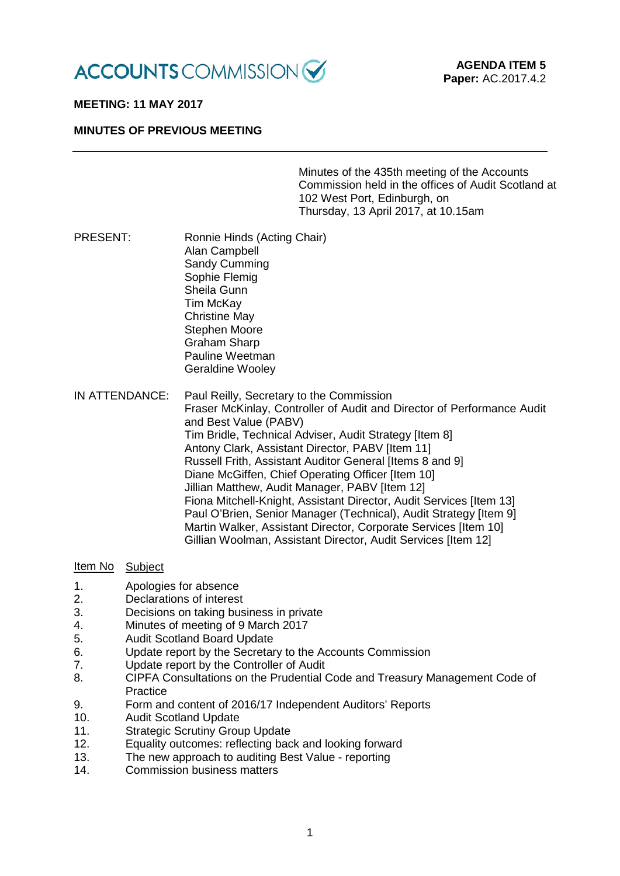

### **MEETING: 11 MAY 2017**

### **MINUTES OF PREVIOUS MEETING**

Minutes of the 435th meeting of the Accounts Commission held in the offices of Audit Scotland at 102 West Port, Edinburgh, on Thursday, 13 April 2017, at 10.15am

- PRESENT: Ronnie Hinds (Acting Chair) Alan Campbell Sandy Cumming Sophie Flemig Sheila Gunn Tim McKay Christine May Stephen Moore Graham Sharp Pauline Weetman Geraldine Wooley IN ATTENDANCE: Paul Reilly, Secretary to the Commission
- Fraser McKinlay, Controller of Audit and Director of Performance Audit and Best Value (PABV) Tim Bridle, Technical Adviser, Audit Strategy [Item 8] Antony Clark, Assistant Director, PABV [Item 11] Russell Frith, Assistant Auditor General [Items 8 and 9] Diane McGiffen, Chief Operating Officer [Item 10] Jillian Matthew, Audit Manager, PABV [Item 12] Fiona Mitchell-Knight, Assistant Director, Audit Services [Item 13] Paul O'Brien, Senior Manager (Technical), Audit Strategy [Item 9] Martin Walker, Assistant Director, Corporate Services [Item 10] Gillian Woolman, Assistant Director, Audit Services [Item 12]

### Item No Subject

- 1. Apologies for absence
- 2. Declarations of interest
- 3. Decisions on taking business in private
- 4. Minutes of meeting of 9 March 2017
- 5. Audit Scotland Board Update
- 6. Update report by the Secretary to the Accounts Commission
- 7. Update report by the Controller of Audit
- 8. CIPFA Consultations on the Prudential Code and Treasury Management Code of **Practice**
- 9. Form and content of 2016/17 Independent Auditors' Reports<br>10. Audit Scotland Update
- **Audit Scotland Update**
- 11. Strategic Scrutiny Group Update
- 12. Equality outcomes: reflecting back and looking forward
- 13. The new approach to auditing Best Value reporting<br>14 Commission business matters
- Commission business matters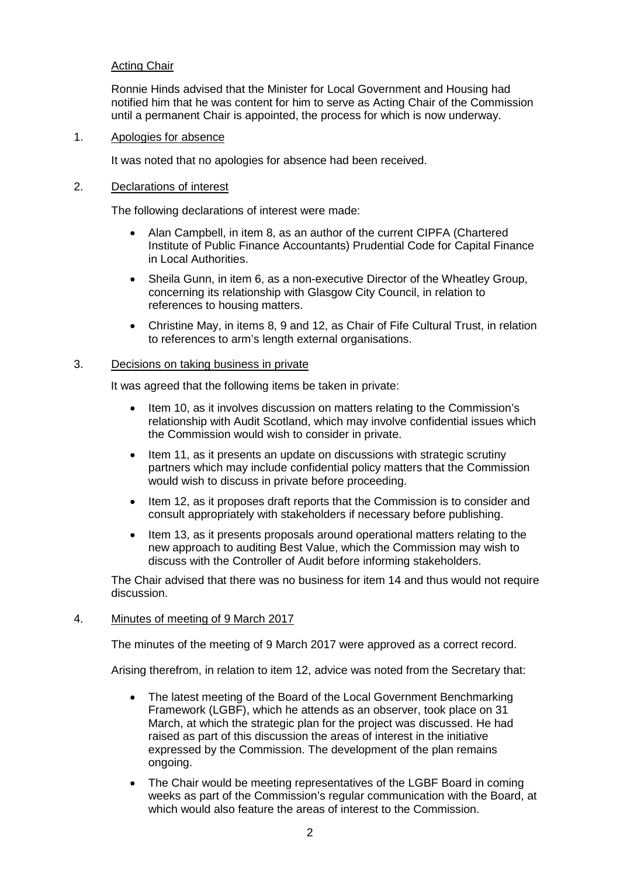# Acting Chair

Ronnie Hinds advised that the Minister for Local Government and Housing had notified him that he was content for him to serve as Acting Chair of the Commission until a permanent Chair is appointed, the process for which is now underway.

### 1. Apologies for absence

It was noted that no apologies for absence had been received.

### 2. Declarations of interest

The following declarations of interest were made:

- Alan Campbell, in item 8, as an author of the current CIPFA (Chartered Institute of Public Finance Accountants) Prudential Code for Capital Finance in Local Authorities.
- Sheila Gunn, in item 6, as a non-executive Director of the Wheatley Group, concerning its relationship with Glasgow City Council, in relation to references to housing matters.
- Christine May, in items 8, 9 and 12, as Chair of Fife Cultural Trust, in relation to references to arm's length external organisations.

### 3. Decisions on taking business in private

It was agreed that the following items be taken in private:

- Item 10, as it involves discussion on matters relating to the Commission's relationship with Audit Scotland, which may involve confidential issues which the Commission would wish to consider in private.
- Item 11, as it presents an update on discussions with strategic scrutiny partners which may include confidential policy matters that the Commission would wish to discuss in private before proceeding.
- Item 12, as it proposes draft reports that the Commission is to consider and consult appropriately with stakeholders if necessary before publishing.
- Item 13, as it presents proposals around operational matters relating to the new approach to auditing Best Value, which the Commission may wish to discuss with the Controller of Audit before informing stakeholders.

The Chair advised that there was no business for item 14 and thus would not require discussion.

#### 4. Minutes of meeting of 9 March 2017

The minutes of the meeting of 9 March 2017 were approved as a correct record.

Arising therefrom, in relation to item 12, advice was noted from the Secretary that:

- The latest meeting of the Board of the Local Government Benchmarking Framework (LGBF), which he attends as an observer, took place on 31 March, at which the strategic plan for the project was discussed. He had raised as part of this discussion the areas of interest in the initiative expressed by the Commission. The development of the plan remains ongoing.
- The Chair would be meeting representatives of the LGBF Board in coming weeks as part of the Commission's regular communication with the Board, at which would also feature the areas of interest to the Commission.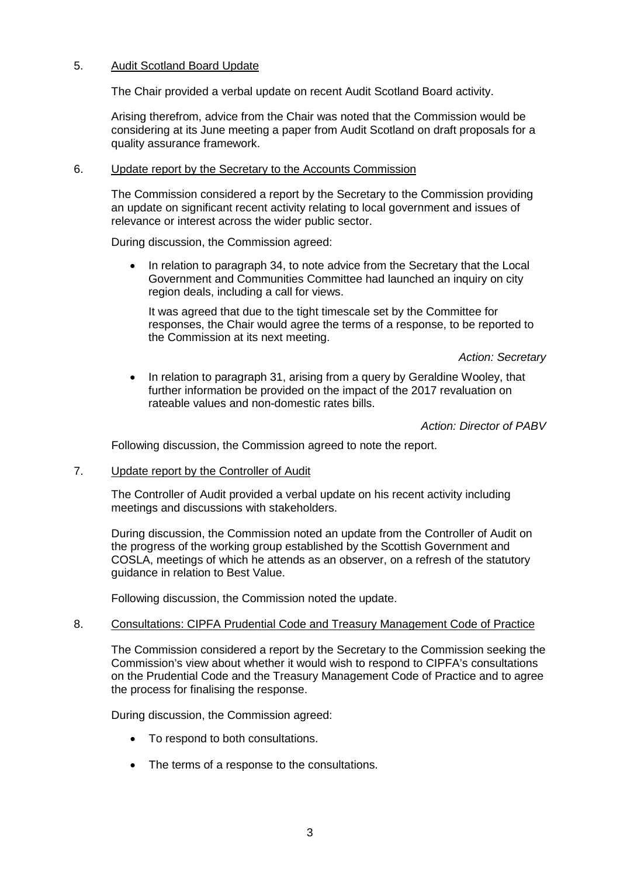# 5. Audit Scotland Board Update

The Chair provided a verbal update on recent Audit Scotland Board activity.

Arising therefrom, advice from the Chair was noted that the Commission would be considering at its June meeting a paper from Audit Scotland on draft proposals for a quality assurance framework.

# 6. Update report by the Secretary to the Accounts Commission

The Commission considered a report by the Secretary to the Commission providing an update on significant recent activity relating to local government and issues of relevance or interest across the wider public sector.

During discussion, the Commission agreed:

• In relation to paragraph 34, to note advice from the Secretary that the Local Government and Communities Committee had launched an inquiry on city region deals, including a call for views.

It was agreed that due to the tight timescale set by the Committee for responses, the Chair would agree the terms of a response, to be reported to the Commission at its next meeting.

*Action: Secretary* 

• In relation to paragraph 31, arising from a query by Geraldine Wooley, that further information be provided on the impact of the 2017 revaluation on rateable values and non-domestic rates bills.

*Action: Director of PABV*

Following discussion, the Commission agreed to note the report.

7. Update report by the Controller of Audit

The Controller of Audit provided a verbal update on his recent activity including meetings and discussions with stakeholders.

During discussion, the Commission noted an update from the Controller of Audit on the progress of the working group established by the Scottish Government and COSLA, meetings of which he attends as an observer, on a refresh of the statutory guidance in relation to Best Value.

Following discussion, the Commission noted the update.

# 8. Consultations: CIPFA Prudential Code and Treasury Management Code of Practice

The Commission considered a report by the Secretary to the Commission seeking the Commission's view about whether it would wish to respond to CIPFA's consultations on the Prudential Code and the Treasury Management Code of Practice and to agree the process for finalising the response.

During discussion, the Commission agreed:

- To respond to both consultations.
- The terms of a response to the consultations.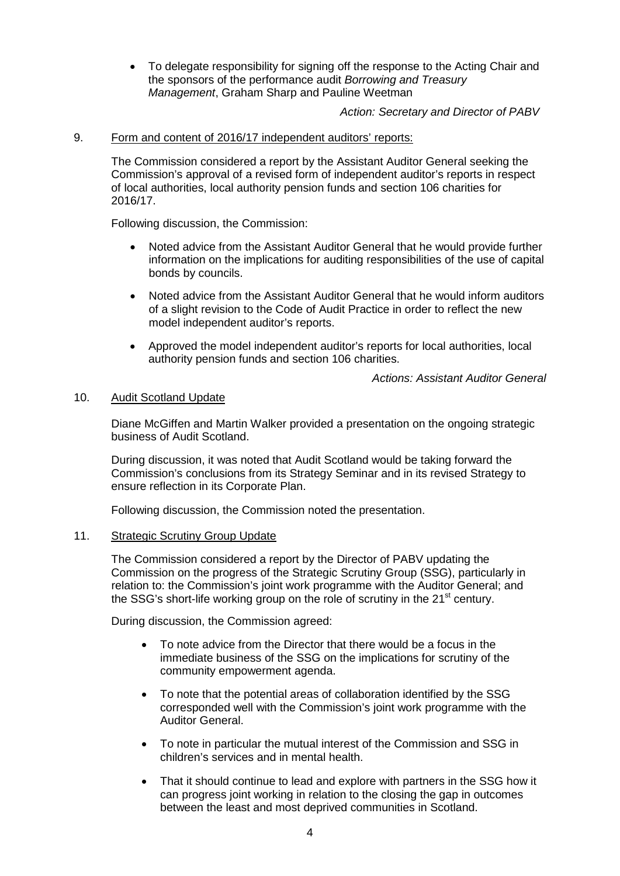• To delegate responsibility for signing off the response to the Acting Chair and the sponsors of the performance audit *Borrowing and Treasury Management*, Graham Sharp and Pauline Weetman

*Action: Secretary and Director of PABV*

### 9. Form and content of 2016/17 independent auditors' reports:

The Commission considered a report by the Assistant Auditor General seeking the Commission's approval of a revised form of independent auditor's reports in respect of local authorities, local authority pension funds and section 106 charities for 2016/17.

Following discussion, the Commission:

- Noted advice from the Assistant Auditor General that he would provide further information on the implications for auditing responsibilities of the use of capital bonds by councils.
- Noted advice from the Assistant Auditor General that he would inform auditors of a slight revision to the Code of Audit Practice in order to reflect the new model independent auditor's reports.
- Approved the model independent auditor's reports for local authorities, local authority pension funds and section 106 charities.

*Actions: Assistant Auditor General*

#### 10. Audit Scotland Update

Diane McGiffen and Martin Walker provided a presentation on the ongoing strategic business of Audit Scotland.

During discussion, it was noted that Audit Scotland would be taking forward the Commission's conclusions from its Strategy Seminar and in its revised Strategy to ensure reflection in its Corporate Plan.

Following discussion, the Commission noted the presentation.

#### 11. Strategic Scrutiny Group Update

The Commission considered a report by the Director of PABV updating the Commission on the progress of the Strategic Scrutiny Group (SSG), particularly in relation to: the Commission's joint work programme with the Auditor General; and the SSG's short-life working group on the role of scrutiny in the  $21<sup>st</sup>$  century.

During discussion, the Commission agreed:

- To note advice from the Director that there would be a focus in the immediate business of the SSG on the implications for scrutiny of the community empowerment agenda.
- To note that the potential areas of collaboration identified by the SSG corresponded well with the Commission's joint work programme with the Auditor General.
- To note in particular the mutual interest of the Commission and SSG in children's services and in mental health.
- That it should continue to lead and explore with partners in the SSG how it can progress joint working in relation to the closing the gap in outcomes between the least and most deprived communities in Scotland.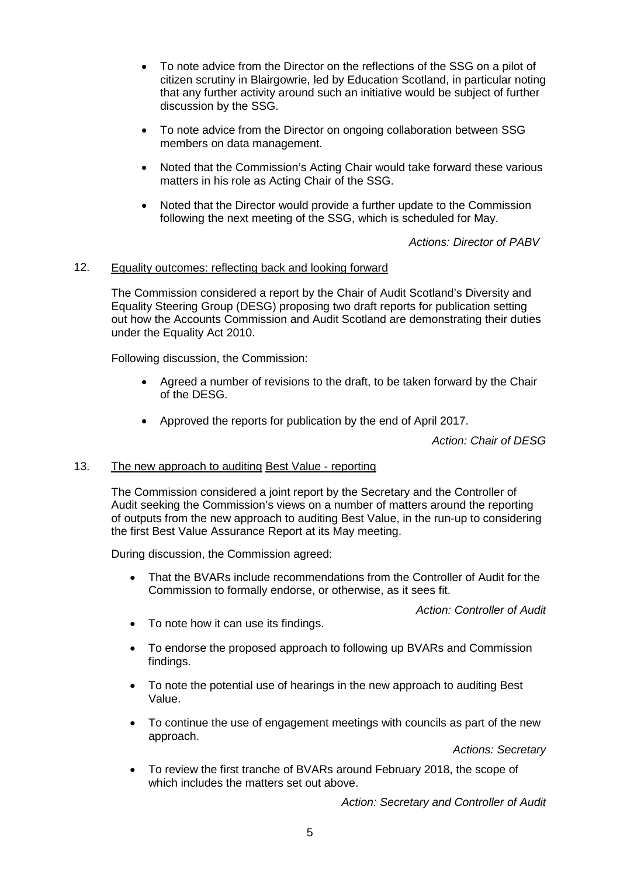- To note advice from the Director on the reflections of the SSG on a pilot of citizen scrutiny in Blairgowrie, led by Education Scotland, in particular noting that any further activity around such an initiative would be subject of further discussion by the SSG.
- To note advice from the Director on ongoing collaboration between SSG members on data management.
- Noted that the Commission's Acting Chair would take forward these various matters in his role as Acting Chair of the SSG.
- Noted that the Director would provide a further update to the Commission following the next meeting of the SSG, which is scheduled for May.

*Actions: Director of PABV*

### 12. Equality outcomes: reflecting back and looking forward

The Commission considered a report by the Chair of Audit Scotland's Diversity and Equality Steering Group (DESG) proposing two draft reports for publication setting out how the Accounts Commission and Audit Scotland are demonstrating their duties under the Equality Act 2010.

Following discussion, the Commission:

- Agreed a number of revisions to the draft, to be taken forward by the Chair of the DESG.
- Approved the reports for publication by the end of April 2017.

*Action: Chair of DESG*

#### 13. The new approach to auditing Best Value - reporting

The Commission considered a joint report by the Secretary and the Controller of Audit seeking the Commission's views on a number of matters around the reporting of outputs from the new approach to auditing Best Value, in the run-up to considering the first Best Value Assurance Report at its May meeting.

During discussion, the Commission agreed:

• That the BVARs include recommendations from the Controller of Audit for the Commission to formally endorse, or otherwise, as it sees fit.

*Action: Controller of Audit*

- To note how it can use its findings.
- To endorse the proposed approach to following up BVARs and Commission findings.
- To note the potential use of hearings in the new approach to auditing Best Value.
- To continue the use of engagement meetings with councils as part of the new approach.

*Actions: Secretary*

• To review the first tranche of BVARs around February 2018, the scope of which includes the matters set out above.

*Action: Secretary and Controller of Audit*